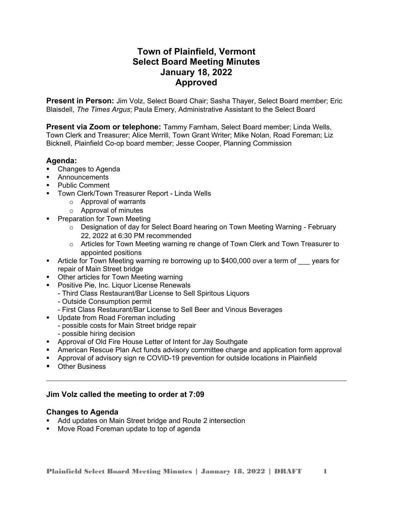# **Town of Plainfield, Vermont Select Board Meeting Minutes January 18, 2022 Approved**

**Present in Person:** Jim Volz, Select Board Chair; Sasha Thayer, Select Board member; Eric Blaisdell, *The Times Argus*; Paula Emery, Administrative Assistant to the Select Board

**Present via Zoom or telephone:** Tammy Farnham, Select Board member; Linda Wells, Town Clerk and Treasurer; Alice Merrill, Town Grant Writer; Mike Nolan, Road Foreman; Liz Bicknell, Plainfield Co-op board member; Jesse Cooper, Planning Commission

# **Agenda:**

- Changes to Agenda
- **Announcements**
- **Public Comment**
- **Town Clerk/Town Treasurer Report Linda Wells** 
	- o Approval of warrants
	- o Approval of minutes
- **Preparation for Town Meeting** 
	- $\circ$  Designation of day for Select Board hearing on Town Meeting Warning February 22, 2022 at 6:30 PM recommended
	- $\circ$  Articles for Town Meeting warning re change of Town Clerk and Town Treasurer to appointed positions
- Article for Town Meeting warning re borrowing up to \$400,000 over a term of vears for repair of Main Street bridge
- **Other articles for Town Meeting warning**
- **Positive Pie, Inc. Liquor License Renewals** 
	- Third Class Restaurant/Bar License to Sell Spiritous Liquors
	- Outside Consumption permit
	- First Class Restaurant/Bar License to Sell Beer and Vinous Beverages
- **Update from Road Foreman including** 
	- possible costs for Main Street bridge repair
	- possible hiring decision
- Approval of Old Fire House Letter of Intent for Jay Southgate
- American Rescue Plan Act funds advisory committee charge and application form approval
- Approval of advisory sign re COVID-19 prevention for outside locations in Plainfield
- **•** Other Business

# **Jim Volz called the meeting to order at 7:09**

## **Changes to Agenda**

- Add updates on Main Street bridge and Route 2 intersection
- **Move Road Foreman update to top of agenda**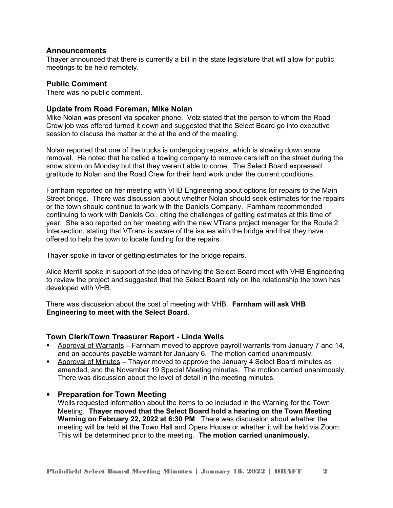## **Announcements**

Thayer announced that there is currently a bill in the state legislature that will allow for public meetings to be held remotely.

#### **Public Comment**

There was no public comment.

#### **Update from Road Foreman, Mike Nolan**

Mike Nolan was present via speaker phone. Volz stated that the person to whom the Road Crew job was offered turned it down and suggested that the Select Board go into executive session to discuss the matter at the at the end of the meeting.

Nolan reported that one of the trucks is undergoing repairs, which is slowing down snow removal. He noted that he called a towing company to remove cars left on the street during the snow storm on Monday but that they weren't able to come. The Select Board expressed gratitude to Nolan and the Road Crew for their hard work under the current conditions.

Farnham reported on her meeting with VHB Engineering about options for repairs to the Main Street bridge. There was discussion about whether Nolan should seek estimates for the repairs or the town should continue to work with the Daniels Company. Farnham recommended continuing to work with Daniels Co., citing the challenges of getting estimates at this time of year. She also reported on her meeting with the new VTrans project manager for the Route 2 Intersection, stating that VTrans is aware of the issues with the bridge and that they have offered to help the town to locate funding for the repairs.

Thayer spoke in favor of getting estimates for the bridge repairs.

Alice Merrill spoke in support of the idea of having the Select Board meet with VHB Engineering to review the project and suggested that the Select Board rely on the relationship the town has developed with VHB.

There was discussion about the cost of meeting with VHB. **Farnham will ask VHB Engineering to meet with the Select Board.** 

#### **Town Clerk/Town Treasurer Report - Linda Wells**

- Approval of Warrants Farnham moved to approve payroll warrants from January 7 and 14, and an accounts payable warrant for January 6. The motion carried unanimously.
- Approval of Minutes Thayer moved to approve the January 4 Select Board minutes as amended, and the November 19 Special Meeting minutes. The motion carried unanimously. There was discussion about the level of detail in the meeting minutes.

## **Preparation for Town Meeting**

Wells requested information about the items to be included in the Warning for the Town Meeting. **Thayer moved that the Select Board hold a hearing on the Town Meeting Warning on February 22, 2022 at 6:30 PM**. There was discussion about whether the meeting will be held at the Town Hall and Opera House or whether it will be held via Zoom. This will be determined prior to the meeting. **The motion carried unanimously.**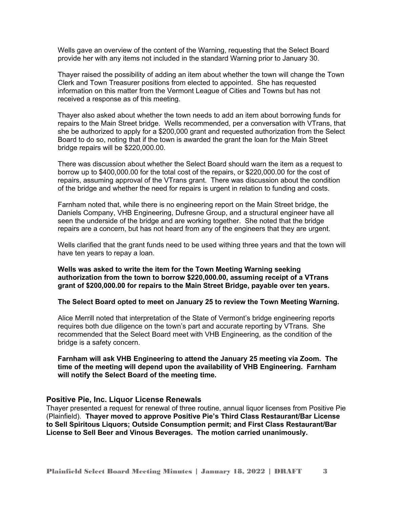Wells gave an overview of the content of the Warning, requesting that the Select Board provide her with any items not included in the standard Warning prior to January 30.

Thayer raised the possibility of adding an item about whether the town will change the Town Clerk and Town Treasurer positions from elected to appointed. She has requested information on this matter from the Vermont League of Cities and Towns but has not received a response as of this meeting.

Thayer also asked about whether the town needs to add an item about borrowing funds for repairs to the Main Street bridge. Wells recommended, per a conversation with VTrans, that she be authorized to apply for a \$200,000 grant and requested authorization from the Select Board to do so, noting that if the town is awarded the grant the loan for the Main Street bridge repairs will be \$220,000.00.

There was discussion about whether the Select Board should warn the item as a request to borrow up to \$400,000.00 for the total cost of the repairs, or \$220,000.00 for the cost of repairs, assuming approval of the VTrans grant. There was discussion about the condition of the bridge and whether the need for repairs is urgent in relation to funding and costs.

Farnham noted that, while there is no engineering report on the Main Street bridge, the Daniels Company, VHB Engineering, Dufresne Group, and a structural engineer have all seen the underside of the bridge and are working together. She noted that the bridge repairs are a concern, but has not heard from any of the engineers that they are urgent.

Wells clarified that the grant funds need to be used withing three years and that the town will have ten years to repay a loan.

**Wells was asked to write the item for the Town Meeting Warning seeking authorization from the town to borrow \$220,000.00, assuming receipt of a VTrans grant of \$200,000.00 for repairs to the Main Street Bridge, payable over ten years.** 

**The Select Board opted to meet on January 25 to review the Town Meeting Warning.** 

Alice Merrill noted that interpretation of the State of Vermont's bridge engineering reports requires both due diligence on the town's part and accurate reporting by VTrans. She recommended that the Select Board meet with VHB Engineering, as the condition of the bridge is a safety concern.

**Farnham will ask VHB Engineering to attend the January 25 meeting via Zoom. The time of the meeting will depend upon the availability of VHB Engineering. Farnham will notify the Select Board of the meeting time.** 

#### **Positive Pie, Inc. Liquor License Renewals**

Thayer presented a request for renewal of three routine, annual liquor licenses from Positive Pie (Plainfield). **Thayer moved to approve Positive Pie's Third Class Restaurant/Bar License to Sell Spiritous Liquors; Outside Consumption permit; and First Class Restaurant/Bar License to Sell Beer and Vinous Beverages. The motion carried unanimously.**